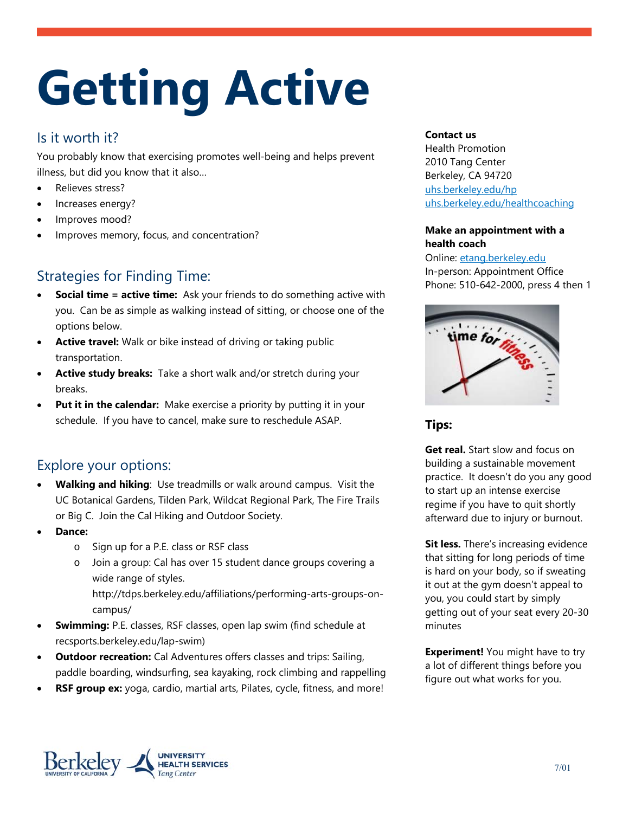# **Getting Active**

## Is it worth it?

You probably know that exercising promotes well-being and helps prevent illness, but did you know that it also…

- Relieves stress?
- Increases energy?
- Improves mood?
- Improves memory, focus, and concentration?

# Strategies for Finding Time:

- **Social time = active time:** Ask your friends to do something active with you. Can be as simple as walking instead of sitting, or choose one of the options below.
- **Active travel:** Walk or bike instead of driving or taking public transportation.
- **Active study breaks:** Take a short walk and/or stretch during your breaks.
- **Put it in the calendar:** Make exercise a priority by putting it in your schedule. If you have to cancel, make sure to reschedule ASAP.

## Explore your options:

- **Walking and hiking**: Use treadmills or walk around campus. Visit the UC Botanical Gardens, Tilden Park, Wildcat Regional Park, The Fire Trails or Big C. Join the Cal Hiking and Outdoor Society.
- **Dance:**
	- o Sign up for a P.E. class or RSF class
	- o Join a group: Cal has over 15 student dance groups covering a wide range of styles.

http://tdps.berkeley.edu/affiliations/performing-arts-groups-oncampus/

- **Swimming:** P.E. classes, RSF classes, open lap swim (find schedule at recsports.berkeley.edu/lap-swim)
- **Outdoor recreation:** Cal Adventures offers classes and trips: Sailing, paddle boarding, windsurfing, sea kayaking, rock climbing and rappelling
- **RSF group ex:** yoga, cardio, martial arts, Pilates, cycle, fitness, and more!

#### **Contact us**

Health Promotion 2010 Tang Center Berkeley, CA 94720 uhs.berkeley.edu/hp uhs.berkeley.edu/healthcoaching

#### **Make an appointment with a health coach**

Online: etang.berkeley.edu In-person: Appointment Office Phone: 510-642-2000, press 4 then 1



### **Tips:**

**Get real.** Start slow and focus on building a sustainable movement practice. It doesn't do you any good to start up an intense exercise regime if you have to quit shortly afterward due to injury or burnout.

**Sit less.** There's increasing evidence that sitting for long periods of time is hard on your body, so if sweating it out at the gym doesn't appeal to you, you could start by simply getting out of your seat every 20-30 minutes

**Experiment!** You might have to try a lot of different things before you figure out what works for you.